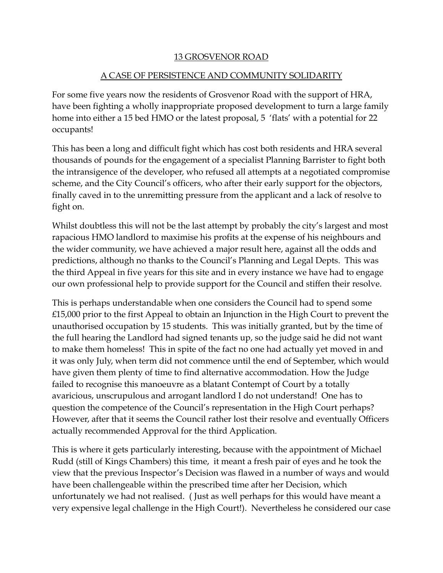## 13 GROSVENOR ROAD

## A CASE OF PERSISTENCE AND COMMUNITY SOLIDARITY

For some five years now the residents of Grosvenor Road with the support of HRA, have been fighting a wholly inappropriate proposed development to turn a large family home into either a 15 bed HMO or the latest proposal, 5 'flats' with a potential for 22 occupants!

This has been a long and difficult fight which has cost both residents and HRA several thousands of pounds for the engagement of a specialist Planning Barrister to fight both the intransigence of the developer, who refused all attempts at a negotiated compromise scheme, and the City Council's officers, who after their early support for the objectors, finally caved in to the unremitting pressure from the applicant and a lack of resolve to fight on.

Whilst doubtless this will not be the last attempt by probably the city's largest and most rapacious HMO landlord to maximise his profits at the expense of his neighbours and the wider community, we have achieved a major result here, against all the odds and predictions, although no thanks to the Council's Planning and Legal Depts. This was the third Appeal in five years for this site and in every instance we have had to engage our own professional help to provide support for the Council and stiffen their resolve.

This is perhaps understandable when one considers the Council had to spend some £15,000 prior to the first Appeal to obtain an Injunction in the High Court to prevent the unauthorised occupation by 15 students. This was initially granted, but by the time of the full hearing the Landlord had signed tenants up, so the judge said he did not want to make them homeless! This in spite of the fact no one had actually yet moved in and it was only July, when term did not commence until the end of September, which would have given them plenty of time to find alternative accommodation. How the Judge failed to recognise this manoeuvre as a blatant Contempt of Court by a totally avaricious, unscrupulous and arrogant landlord I do not understand! One has to question the competence of the Council's representation in the High Court perhaps? However, after that it seems the Council rather lost their resolve and eventually Officers actually recommended Approval for the third Application.

This is where it gets particularly interesting, because with the appointment of Michael Rudd (still of Kings Chambers) this time, it meant a fresh pair of eyes and he took the view that the previous Inspector's Decision was flawed in a number of ways and would have been challengeable within the prescribed time after her Decision, which unfortunately we had not realised. ( Just as well perhaps for this would have meant a very expensive legal challenge in the High Court!). Nevertheless he considered our case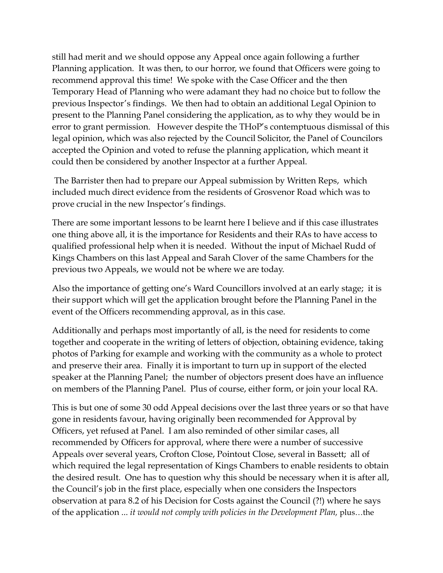still had merit and we should oppose any Appeal once again following a further Planning application. It was then, to our horror, we found that Officers were going to recommend approval this time! We spoke with the Case Officer and the then Temporary Head of Planning who were adamant they had no choice but to follow the previous Inspector's findings. We then had to obtain an additional Legal Opinion to present to the Planning Panel considering the application, as to why they would be in error to grant permission. However despite the THoP's contemptuous dismissal of this legal opinion, which was also rejected by the Council Solicitor, the Panel of Councilors accepted the Opinion and voted to refuse the planning application, which meant it could then be considered by another Inspector at a further Appeal.

 The Barrister then had to prepare our Appeal submission by Written Reps, which included much direct evidence from the residents of Grosvenor Road which was to prove crucial in the new Inspector's findings.

There are some important lessons to be learnt here I believe and if this case illustrates one thing above all, it is the importance for Residents and their RAs to have access to qualified professional help when it is needed. Without the input of Michael Rudd of Kings Chambers on this last Appeal and Sarah Clover of the same Chambers for the previous two Appeals, we would not be where we are today.

Also the importance of getting one's Ward Councillors involved at an early stage; it is their support which will get the application brought before the Planning Panel in the event of the Officers recommending approval, as in this case.

Additionally and perhaps most importantly of all, is the need for residents to come together and cooperate in the writing of letters of objection, obtaining evidence, taking photos of Parking for example and working with the community as a whole to protect and preserve their area. Finally it is important to turn up in support of the elected speaker at the Planning Panel; the number of objectors present does have an influence on members of the Planning Panel. Plus of course, either form, or join your local RA.

This is but one of some 30 odd Appeal decisions over the last three years or so that have gone in residents favour, having originally been recommended for Approval by Officers, yet refused at Panel. I am also reminded of other similar cases, all recommended by Officers for approval, where there were a number of successive Appeals over several years, Crofton Close, Pointout Close, several in Bassett; all of which required the legal representation of Kings Chambers to enable residents to obtain the desired result. One has to question why this should be necessary when it is after all, the Council's job in the first place, especially when one considers the Inspectors observation at para 8.2 of his Decision for Costs against the Council (?!) where he says of the application ... *it would not comply with policies in the Development Plan,* plus…the